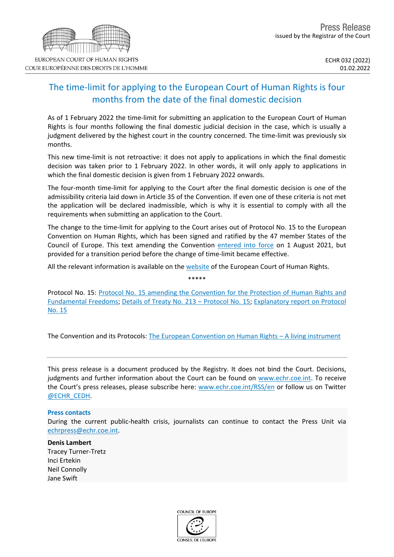## The time-limit for applying to the European Court of Human Rights is four months from the date of the final domestic decision

As of 1 February 2022 the time-limit for submitting an application to the European Court of Human Rights is four months following the final domestic judicial decision in the case, which is usually a judgment delivered by the highest court in the country concerned. The time-limit was previously six months.

This new time-limit is not retroactive: it does not apply to applications in which the final domestic decision was taken prior to 1 February 2022. In other words, it will only apply to applications in which the final domestic decision is given from 1 February 2022 onwards.

The four-month time-limit for applying to the Court after the final domestic decision is one of the admissibility criteria laid down in Article 35 of the Convention. If even one of these criteria is not met the application will be declared inadmissible, which is why it is essential to comply with all the requirements when submitting an application to the Court.

The change to the time-limit for applying to the Court arises out of Protocol No. 15 to the European Convention on Human Rights, which has been signed and ratified by the 47 member States of the Council of Europe. This text amending the Convention [entered](https://hudoc.echr.coe.int/eng-press?i=003-7088764-9588986) into force on 1 August 2021, but provided for a transition period before the change of time-limit became effective.

All the relevant information is available on the [website](https://echr.coe.int/Pages/home.aspx?p=home&c=fre) of the European Court of Human Rights.

Protocol No. 15: Protocol No. 15 amending the [Convention](https://www.echr.coe.int/Documents/Protocol_15_ENG.pdf) for the Protection of Human Rights and [Fundamental](https://www.echr.coe.int/Documents/Protocol_15_ENG.pdf) Freedoms; Details of Treaty No. 213 – [Protocol](https://www.coe.int/en/web/conventions/full-list/-/conventions/treaty/213) No. 15; [Explanatory](https://www.echr.coe.int/Documents/Protocol_15_explanatory_report_ENG.pdf) report on Protocol [No.](https://www.echr.coe.int/Documents/Protocol_15_explanatory_report_ENG.pdf) 15

\*\*\*\*\*

The Convention and its Protocols: The European [Convention](https://echr.coe.int/Documents/Convention_Instrument_ENG.pdf) on Human Rights – A living instrument

This press release is a document produced by the Registry. It does not bind the Court. Decisions, judgments and further information about the Court can be found on [www.echr.coe.int](http://www.echr.coe.int/). To receive the Court's press releases, please subscribe here: [www.echr.coe.int/RSS/en](http://www.echr.coe.int/RSS/en) or follow us on Twitter [@ECHR\\_CEDH](https://twitter.com/ECHR_CEDH).

## **Press contacts**

During the current public-health crisis, journalists can continue to contact the Press Unit via [echrpress@echr.coe.int](mailto:echrpress@echr.coe.int).

## **Denis Lambert**

Tracey Turner-Tretz Inci Ertekin Neil Connolly Jane Swift